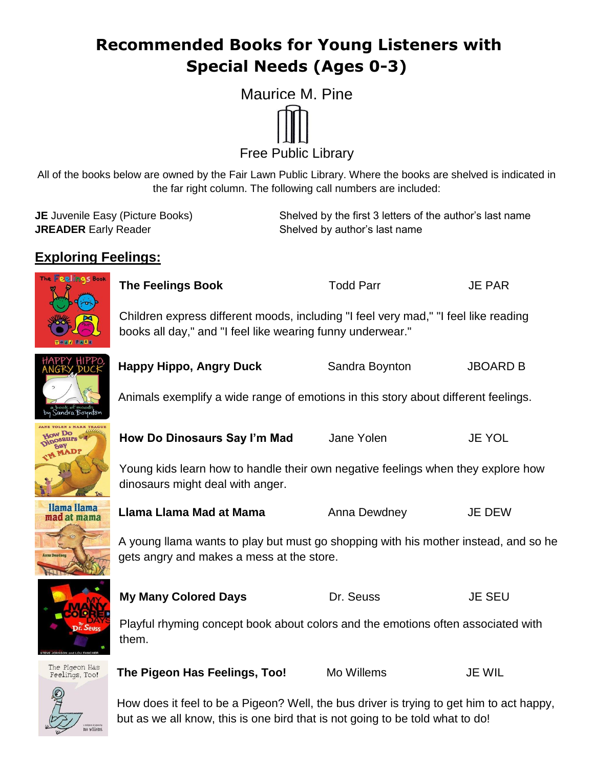## **Recommended Books for Young Listeners with Special Needs (Ages 0-3)**



Free Public Library

All of the books below are owned by the Fair Lawn Public Library. Where the books are shelved is indicated in the far right column. The following call numbers are included:

| <b>JE</b> Juvenile Easy (Picture Books) | Shelved by the first 3 letters of the author's last name |
|-----------------------------------------|----------------------------------------------------------|
| <b>JREADER</b> Early Reader             | Shelved by author's last name                            |

#### **Exploring Feelings:**



**The Feelings Book** Todd Parr JE PAR

Children express different moods, including "I feel very mad," "I feel like reading books all day," and "I feel like wearing funny underwear."



**Happy Hippo, Angry Duck** Sandra Boynton JBOARD B

Animals exemplify a wide range of emotions in this story about different feelings.





**How Do Dinosaurs Say I'm Mad** Jane Yolen JE YOL

Young kids learn how to handle their own negative feelings when they explore how dinosaurs might deal with anger.

**Llama Llama Mad at Mama** Anna Dewdney JE DEW

A young llama wants to play but must go shopping with his mother instead, and so he gets angry and makes a mess at the store.



**My Many Colored Days Dr. Seuss Dr. Seuss JE SEU** 

Playful rhyming concept book about colors and the emotions often associated with them.



**The Pigeon Has Feelings, Too!** Mo Willems JE WIL

How does it feel to be a Pigeon? Well, the bus driver is trying to get him to act happy, but as we all know, this is one bird that is not going to be told what to do!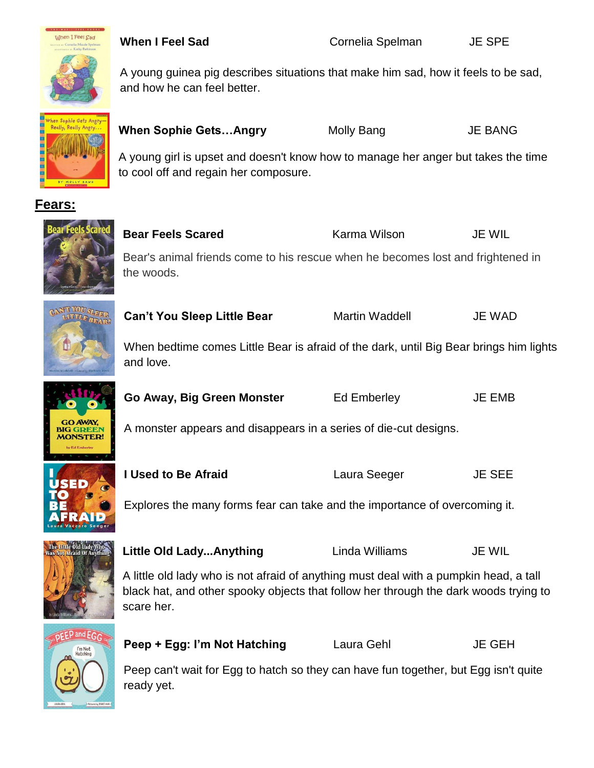



A young guinea pig describes situations that make him sad, how it feels to be sad, and how he can feel better.



**When Sophie Gets...Angry Molly Bang Gets... Angry** 

A young girl is upset and doesn't know how to manage her anger but takes the time to cool off and regain her composure.

#### **Fears:**



**Bear Feels Scared The Carma Wilson Constructs Heart Feels Scared The Karma Wilson Constructs JE WIL** Bear's animal friends come to his rescue when he becomes lost and frightened in the woods.



**Can't You Sleep Little Bear** Martin Waddell JE WAD

When bedtime comes Little Bear is afraid of the dark, until Big Bear brings him lights and love.



A monster appears and disappears in a series of die-cut designs.



**GO AWAY, BIG GREEN MONSTER!** 

**I Used to Be Afraid Laura Seeger JE SEE** 

Explores the many forms fear can take and the importance of overcoming it.



Little Old Lady...Anything Linda Williams JE WIL

A little old lady who is not afraid of anything must deal with a pumpkin head, a tall black hat, and other spooky objects that follow her through the dark woods trying to scare her.



**Peep + Egg: I'm Not Hatching Laura Gehl JE GEH** 

Peep can't wait for Egg to hatch so they can have fun together, but Egg isn't quite ready yet.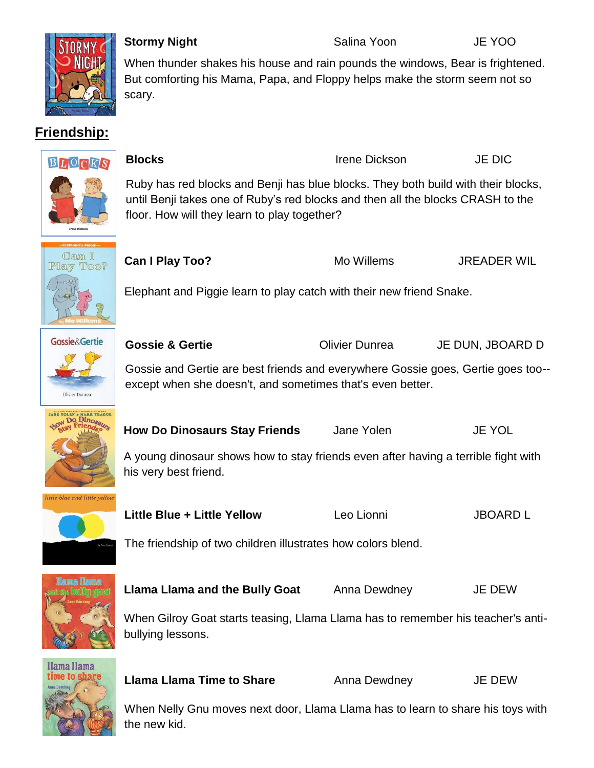

### **Friendship:**

When thunder shakes his house and rain pounds the windows, Bear is frightened. But comforting his Mama, Papa, and Floppy helps make the storm seem not so scary.

**Stormy Night** Salina Yoon **Salina Yoon** JE YOO

# BLOCKS

Ruby has red blocks and Benji has blue blocks. They both build with their blocks, until Benji takes one of Ruby's red blocks and then all the blocks CRASH to the floor. How will they learn to play together?

**Blocks** Irene Dickson JE DIC



**Can I Play Too?** Mo Willems JREADER WIL

Elephant and Piggie learn to play catch with their new friend Snake.



**Gossie & Gertie COLIVIER COLIVIER DUNE Olivier Dunrea** JE DUN, JBOARD D

Gossie and Gertie are best friends and everywhere Gossie goes, Gertie goes too- except when she doesn't, and sometimes that's even better.



**How Do Dinosaurs Stay Friends** Jane Yolen JE YOL

A young dinosaur shows how to stay friends even after having a terrible fight with his very best friend.



**Little Blue + Little Yellow** Leo Lionni JBOARD L

The friendship of two children illustrates how colors blend.



**Llama Llama and the Bully Goat** Anna Dewdney JE DEW

When Gilroy Goat starts teasing, Llama Llama has to remember his teacher's antibullying lessons.



**Llama Llama Time to Share** Anna Dewdney **JE DEW** 

When Nelly Gnu moves next door, Llama Llama has to learn to share his toys with the new kid.